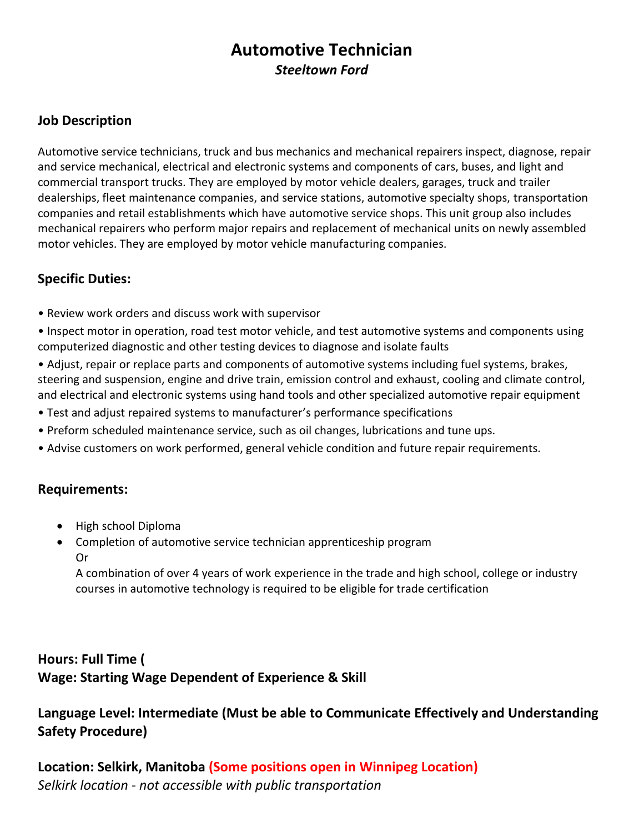# **Automotive Technician** *Steeltown Ford*

### **Job Description**

Automotive service technicians, truck and bus mechanics and mechanical repairers inspect, diagnose, repair and service mechanical, electrical and electronic systems and components of cars, buses, and light and commercial transport trucks. They are employed by motor vehicle dealers, garages, truck and trailer dealerships, fleet maintenance companies, and service stations, automotive specialty shops, transportation companies and retail establishments which have automotive service shops. This unit group also includes mechanical repairers who perform major repairs and replacement of mechanical units on newly assembled motor vehicles. They are employed by motor vehicle manufacturing companies.

## **Specific Duties:**

• Review work orders and discuss work with supervisor

• Inspect motor in operation, road test motor vehicle, and test automotive systems and components using computerized diagnostic and other testing devices to diagnose and isolate faults

• Adjust, repair or replace parts and components of automotive systems including fuel systems, brakes, steering and suspension, engine and drive train, emission control and exhaust, cooling and climate control, and electrical and electronic systems using hand tools and other specialized automotive repair equipment

- Test and adjust repaired systems to manufacturer's performance specifications
- Preform scheduled maintenance service, such as oil changes, lubrications and tune ups.
- Advise customers on work performed, general vehicle condition and future repair requirements.

### **Requirements:**

- High school Diploma
- Completion of automotive service technician apprenticeship program Or

A combination of over 4 years of work experience in the trade and high school, college or industry courses in automotive technology is required to be eligible for trade certification

# **Hours: Full Time ( Wage: Starting Wage Dependent of Experience & Skill**

**Language Level: Intermediate (Must be able to Communicate Effectively and Understanding Safety Procedure)**

**Location: Selkirk, Manitoba (Some positions open in Winnipeg Location)** *Selkirk location - not accessible with public transportation*